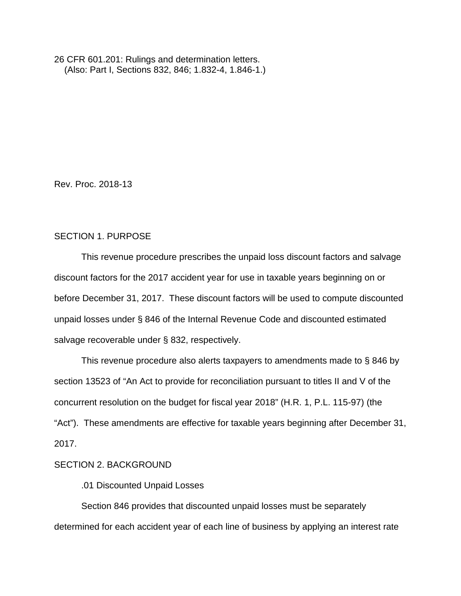26 CFR 601.201: Rulings and determination letters. (Also: Part I, Sections 832, 846; 1.832-4, 1.846-1.)

Rev. Proc. 2018-13

### SECTION 1. PURPOSE

This revenue procedure prescribes the unpaid loss discount factors and salvage discount factors for the 2017 accident year for use in taxable years beginning on or before December 31, 2017. These discount factors will be used to compute discounted unpaid losses under § 846 of the Internal Revenue Code and discounted estimated salvage recoverable under § 832, respectively.

This revenue procedure also alerts taxpayers to amendments made to § 846 by section 13523 of "An Act to provide for reconciliation pursuant to titles II and V of the concurrent resolution on the budget for fiscal year 2018" (H.R. 1, P.L. 115-97) (the "Act"). These amendments are effective for taxable years beginning after December 31, 2017.

## SECTION 2. BACKGROUND

.01 Discounted Unpaid Losses

Section 846 provides that discounted unpaid losses must be separately determined for each accident year of each line of business by applying an interest rate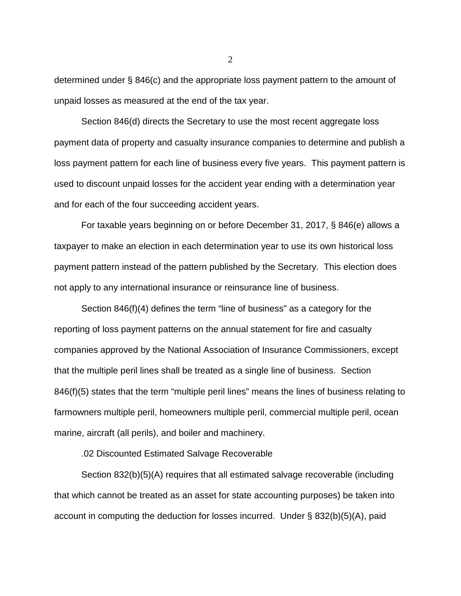determined under § 846(c) and the appropriate loss payment pattern to the amount of unpaid losses as measured at the end of the tax year.

Section 846(d) directs the Secretary to use the most recent aggregate loss payment data of property and casualty insurance companies to determine and publish a loss payment pattern for each line of business every five years. This payment pattern is used to discount unpaid losses for the accident year ending with a determination year and for each of the four succeeding accident years.

For taxable years beginning on or before December 31, 2017, § 846(e) allows a taxpayer to make an election in each determination year to use its own historical loss payment pattern instead of the pattern published by the Secretary. This election does not apply to any international insurance or reinsurance line of business.

Section 846(f)(4) defines the term "line of business" as a category for the reporting of loss payment patterns on the annual statement for fire and casualty companies approved by the National Association of Insurance Commissioners, except that the multiple peril lines shall be treated as a single line of business. Section 846(f)(5) states that the term "multiple peril lines" means the lines of business relating to farmowners multiple peril, homeowners multiple peril, commercial multiple peril, ocean marine, aircraft (all perils), and boiler and machinery.

.02 Discounted Estimated Salvage Recoverable

Section 832(b)(5)(A) requires that all estimated salvage recoverable (including that which cannot be treated as an asset for state accounting purposes) be taken into account in computing the deduction for losses incurred. Under § 832(b)(5)(A), paid

2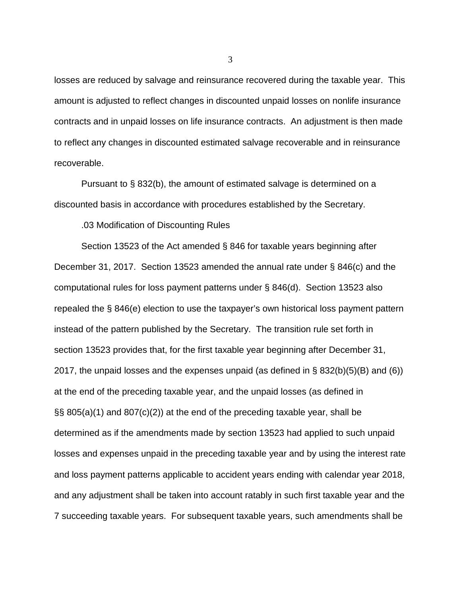losses are reduced by salvage and reinsurance recovered during the taxable year. This amount is adjusted to reflect changes in discounted unpaid losses on nonlife insurance contracts and in unpaid losses on life insurance contracts. An adjustment is then made to reflect any changes in discounted estimated salvage recoverable and in reinsurance recoverable.

Pursuant to § 832(b), the amount of estimated salvage is determined on a discounted basis in accordance with procedures established by the Secretary.

.03 Modification of Discounting Rules

Section 13523 of the Act amended § 846 for taxable years beginning after December 31, 2017. Section 13523 amended the annual rate under § 846(c) and the computational rules for loss payment patterns under § 846(d). Section 13523 also repealed the § 846(e) election to use the taxpayer's own historical loss payment pattern instead of the pattern published by the Secretary. The transition rule set forth in section 13523 provides that, for the first taxable year beginning after December 31, 2017, the unpaid losses and the expenses unpaid (as defined in § 832(b)(5)(B) and (6)) at the end of the preceding taxable year, and the unpaid losses (as defined in §§ 805(a)(1) and 807(c)(2)) at the end of the preceding taxable year, shall be determined as if the amendments made by section 13523 had applied to such unpaid losses and expenses unpaid in the preceding taxable year and by using the interest rate and loss payment patterns applicable to accident years ending with calendar year 2018, and any adjustment shall be taken into account ratably in such first taxable year and the 7 succeeding taxable years. For subsequent taxable years, such amendments shall be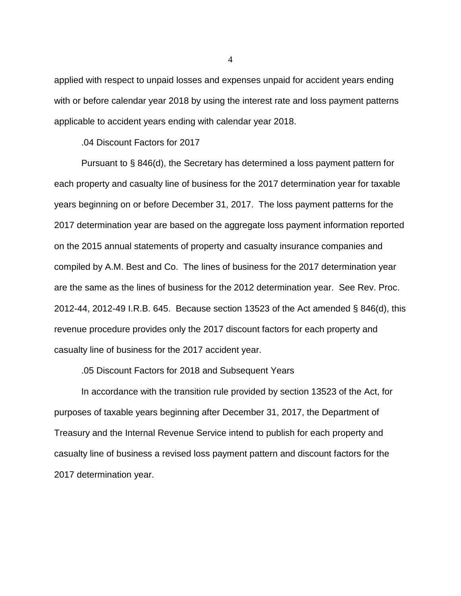applied with respect to unpaid losses and expenses unpaid for accident years ending with or before calendar year 2018 by using the interest rate and loss payment patterns applicable to accident years ending with calendar year 2018.

.04 Discount Factors for 2017

Pursuant to § 846(d), the Secretary has determined a loss payment pattern for each property and casualty line of business for the 2017 determination year for taxable years beginning on or before December 31, 2017. The loss payment patterns for the 2017 determination year are based on the aggregate loss payment information reported on the 2015 annual statements of property and casualty insurance companies and compiled by A.M. Best and Co. The lines of business for the 2017 determination year are the same as the lines of business for the 2012 determination year. See Rev. Proc. 2012-44, 2012-49 I.R.B. 645. Because section 13523 of the Act amended § 846(d), this revenue procedure provides only the 2017 discount factors for each property and casualty line of business for the 2017 accident year.

.05 Discount Factors for 2018 and Subsequent Years

In accordance with the transition rule provided by section 13523 of the Act, for purposes of taxable years beginning after December 31, 2017, the Department of Treasury and the Internal Revenue Service intend to publish for each property and casualty line of business a revised loss payment pattern and discount factors for the 2017 determination year.

4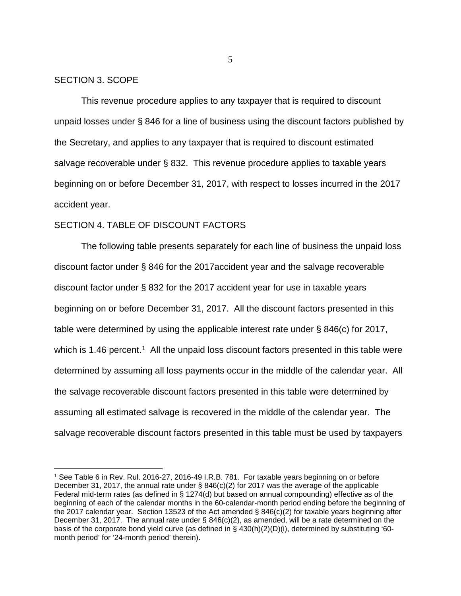### SECTION 3. SCOPE

This revenue procedure applies to any taxpayer that is required to discount unpaid losses under § 846 for a line of business using the discount factors published by the Secretary, and applies to any taxpayer that is required to discount estimated salvage recoverable under § 832. This revenue procedure applies to taxable years beginning on or before December 31, 2017, with respect to losses incurred in the 2017 accident year.

### SECTION 4. TABLE OF DISCOUNT FACTORS

The following table presents separately for each line of business the unpaid loss discount factor under § 846 for the 2017accident year and the salvage recoverable discount factor under § 832 for the 2017 accident year for use in taxable years beginning on or before December 31, 2017. All the discount factors presented in this table were determined by using the applicable interest rate under § 846(c) for 2017, which is [1](#page-4-0).46 percent.<sup>1</sup> All the unpaid loss discount factors presented in this table were determined by assuming all loss payments occur in the middle of the calendar year. All the salvage recoverable discount factors presented in this table were determined by assuming all estimated salvage is recovered in the middle of the calendar year. The salvage recoverable discount factors presented in this table must be used by taxpayers

5

<span id="page-4-0"></span> <sup>1</sup> See Table 6 in Rev. Rul. 2016-27, 2016-49 I.R.B. 781. For taxable years beginning on or before December 31, 2017, the annual rate under § 846(c)(2) for 2017 was the average of the applicable Federal mid-term rates (as defined in § 1274(d) but based on annual compounding) effective as of the beginning of each of the calendar months in the 60-calendar-month period ending before the beginning of the 2017 calendar year. Section 13523 of the Act amended § 846(c)(2) for taxable years beginning after December 31, 2017. The annual rate under § 846(c)(2), as amended, will be a rate determined on the basis of the corporate bond yield curve (as defined in § 430(h)(2)(D)(i), determined by substituting '60 month period' for '24-month period' therein).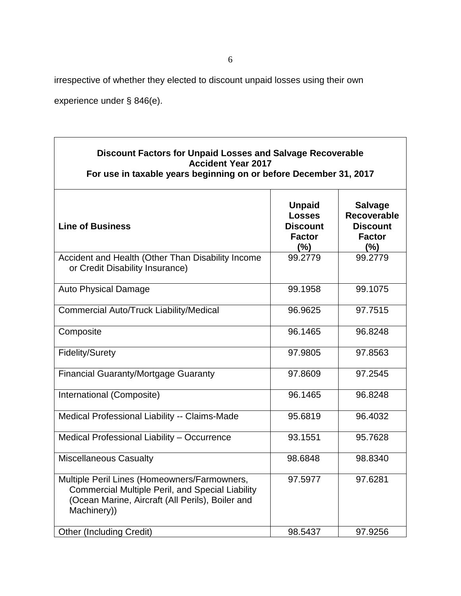٦

irrespective of whether they elected to discount unpaid losses using their own

experience under § 846(e).

 $\Gamma$ 

| <b>Discount Factors for Unpaid Losses and Salvage Recoverable</b><br><b>Accident Year 2017</b><br>For use in taxable years beginning on or before December 31, 2017        |                                                                               |                                                                                 |
|----------------------------------------------------------------------------------------------------------------------------------------------------------------------------|-------------------------------------------------------------------------------|---------------------------------------------------------------------------------|
| <b>Line of Business</b>                                                                                                                                                    | <b>Unpaid</b><br><b>Losses</b><br><b>Discount</b><br><b>Factor</b><br>$(\% )$ | <b>Salvage</b><br><b>Recoverable</b><br><b>Discount</b><br><b>Factor</b><br>(%) |
| Accident and Health (Other Than Disability Income<br>or Credit Disability Insurance)                                                                                       | 99.2779                                                                       | 99.2779                                                                         |
| <b>Auto Physical Damage</b>                                                                                                                                                | 99.1958                                                                       | 99.1075                                                                         |
| <b>Commercial Auto/Truck Liability/Medical</b>                                                                                                                             | 96.9625                                                                       | 97.7515                                                                         |
| Composite                                                                                                                                                                  | 96.1465                                                                       | 96.8248                                                                         |
| <b>Fidelity/Surety</b>                                                                                                                                                     | 97.9805                                                                       | 97.8563                                                                         |
| <b>Financial Guaranty/Mortgage Guaranty</b>                                                                                                                                | 97.8609                                                                       | 97.2545                                                                         |
| International (Composite)                                                                                                                                                  | 96.1465                                                                       | 96.8248                                                                         |
| Medical Professional Liability -- Claims-Made                                                                                                                              | 95.6819                                                                       | 96.4032                                                                         |
| Medical Professional Liability - Occurrence                                                                                                                                | 93.1551                                                                       | 95.7628                                                                         |
| <b>Miscellaneous Casualty</b>                                                                                                                                              | 98.6848                                                                       | 98.8340                                                                         |
| Multiple Peril Lines (Homeowners/Farmowners,<br><b>Commercial Multiple Peril, and Special Liability</b><br>(Ocean Marine, Aircraft (All Perils), Boiler and<br>Machinery)) | 97.5977                                                                       | 97.6281                                                                         |
| <b>Other (Including Credit)</b>                                                                                                                                            | 98.5437                                                                       | 97.9256                                                                         |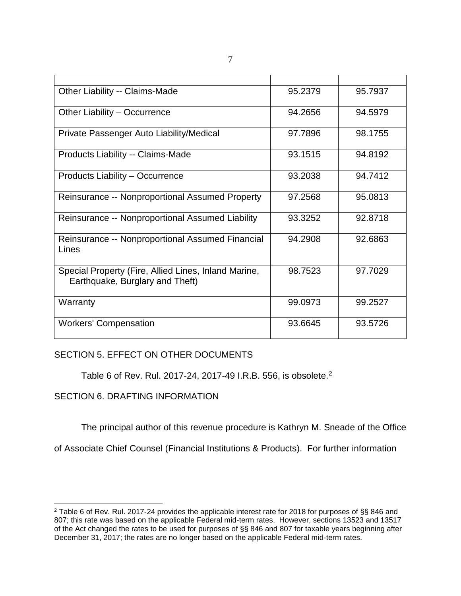| Other Liability -- Claims-Made                                                          | 95.2379 | 95.7937 |
|-----------------------------------------------------------------------------------------|---------|---------|
| Other Liability - Occurrence                                                            | 94.2656 | 94.5979 |
| Private Passenger Auto Liability/Medical                                                | 97.7896 | 98.1755 |
| Products Liability -- Claims-Made                                                       | 93.1515 | 94.8192 |
| Products Liability - Occurrence                                                         | 93.2038 | 94.7412 |
| Reinsurance -- Nonproportional Assumed Property                                         | 97.2568 | 95.0813 |
| Reinsurance -- Nonproportional Assumed Liability                                        | 93.3252 | 92.8718 |
| Reinsurance -- Nonproportional Assumed Financial<br>Lines                               | 94.2908 | 92.6863 |
| Special Property (Fire, Allied Lines, Inland Marine,<br>Earthquake, Burglary and Theft) | 98.7523 | 97.7029 |
| Warranty                                                                                | 99.0973 | 99.2527 |
| <b>Workers' Compensation</b>                                                            | 93.6645 | 93.5726 |

# SECTION 5. EFFECT ON OTHER DOCUMENTS

Table 6 of Rev. Rul. 2017-24, 2017-49 I.R.B. 556, is obsolete.[2](#page-6-0)

# SECTION 6. DRAFTING INFORMATION

The principal author of this revenue procedure is Kathryn M. Sneade of the Office

of Associate Chief Counsel (Financial Institutions & Products). For further information

<span id="page-6-0"></span> <sup>2</sup> Table 6 of Rev. Rul. 2017-24 provides the applicable interest rate for 2018 for purposes of §§ 846 and 807; this rate was based on the applicable Federal mid-term rates. However, sections 13523 and 13517 of the Act changed the rates to be used for purposes of §§ 846 and 807 for taxable years beginning after December 31, 2017; the rates are no longer based on the applicable Federal mid-term rates.